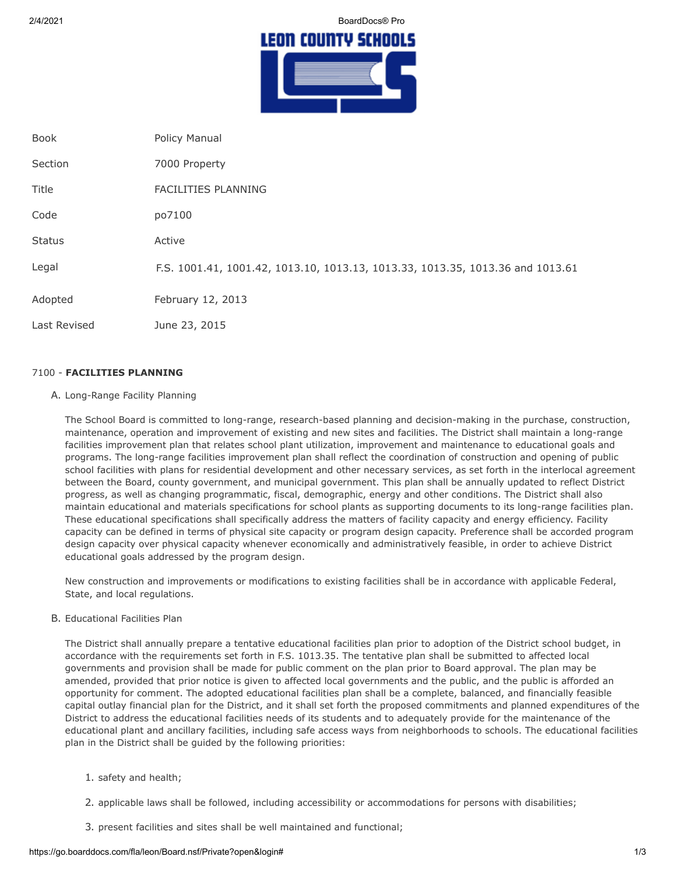2/4/2021 BoardDocs® Pro

# LEON COUNTY SCHOOLS

| <b>Book</b>   | Policy Manual                                                                  |
|---------------|--------------------------------------------------------------------------------|
| Section       | 7000 Property                                                                  |
| Title         | <b>FACILITIES PLANNING</b>                                                     |
| Code          | po7100                                                                         |
| <b>Status</b> | Active                                                                         |
| Legal         | F.S. 1001.41, 1001.42, 1013.10, 1013.13, 1013.33, 1013.35, 1013.36 and 1013.61 |
| Adopted       | February 12, 2013                                                              |
| Last Revised  | June 23, 2015                                                                  |

# 7100 - **FACILITIES PLANNING**

A. Long-Range Facility Planning

The School Board is committed to long-range, research-based planning and decision-making in the purchase, construction, maintenance, operation and improvement of existing and new sites and facilities. The District shall maintain a long-range facilities improvement plan that relates school plant utilization, improvement and maintenance to educational goals and programs. The long-range facilities improvement plan shall reflect the coordination of construction and opening of public school facilities with plans for residential development and other necessary services, as set forth in the interlocal agreement between the Board, county government, and municipal government. This plan shall be annually updated to reflect District progress, as well as changing programmatic, fiscal, demographic, energy and other conditions. The District shall also maintain educational and materials specifications for school plants as supporting documents to its long-range facilities plan. These educational specifications shall specifically address the matters of facility capacity and energy efficiency. Facility capacity can be defined in terms of physical site capacity or program design capacity. Preference shall be accorded program design capacity over physical capacity whenever economically and administratively feasible, in order to achieve District educational goals addressed by the program design.

New construction and improvements or modifications to existing facilities shall be in accordance with applicable Federal, State, and local regulations.

B. Educational Facilities Plan

The District shall annually prepare a tentative educational facilities plan prior to adoption of the District school budget, in accordance with the requirements set forth in F.S. 1013.35. The tentative plan shall be submitted to affected local governments and provision shall be made for public comment on the plan prior to Board approval. The plan may be amended, provided that prior notice is given to affected local governments and the public, and the public is afforded an opportunity for comment. The adopted educational facilities plan shall be a complete, balanced, and financially feasible capital outlay financial plan for the District, and it shall set forth the proposed commitments and planned expenditures of the District to address the educational facilities needs of its students and to adequately provide for the maintenance of the educational plant and ancillary facilities, including safe access ways from neighborhoods to schools. The educational facilities plan in the District shall be guided by the following priorities:

- 1. safety and health;
- 2. applicable laws shall be followed, including accessibility or accommodations for persons with disabilities;
- 3. present facilities and sites shall be well maintained and functional;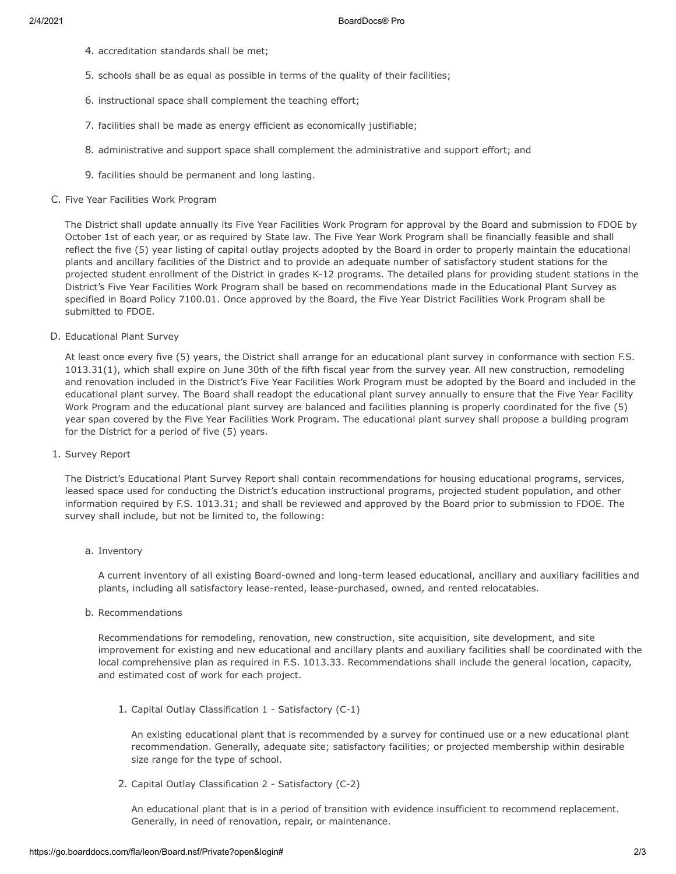- 4. accreditation standards shall be met;
- 5. schools shall be as equal as possible in terms of the quality of their facilities;
- 6. instructional space shall complement the teaching effort;
- 7. facilities shall be made as energy efficient as economically justifiable;
- 8. administrative and support space shall complement the administrative and support effort; and
- 9. facilities should be permanent and long lasting.

### C. Five Year Facilities Work Program

The District shall update annually its Five Year Facilities Work Program for approval by the Board and submission to FDOE by October 1st of each year, or as required by State law. The Five Year Work Program shall be financially feasible and shall reflect the five (5) year listing of capital outlay projects adopted by the Board in order to properly maintain the educational plants and ancillary facilities of the District and to provide an adequate number of satisfactory student stations for the projected student enrollment of the District in grades K-12 programs. The detailed plans for providing student stations in the District's Five Year Facilities Work Program shall be based on recommendations made in the Educational Plant Survey as specified in Board Policy 7100.01. Once approved by the Board, the Five Year District Facilities Work Program shall be submitted to FDOE.

D. Educational Plant Survey

At least once every five (5) years, the District shall arrange for an educational plant survey in conformance with section F.S. 1013.31(1), which shall expire on June 30th of the fifth fiscal year from the survey year. All new construction, remodeling and renovation included in the District's Five Year Facilities Work Program must be adopted by the Board and included in the educational plant survey. The Board shall readopt the educational plant survey annually to ensure that the Five Year Facility Work Program and the educational plant survey are balanced and facilities planning is properly coordinated for the five (5) year span covered by the Five Year Facilities Work Program. The educational plant survey shall propose a building program for the District for a period of five (5) years.

1. Survey Report

The District's Educational Plant Survey Report shall contain recommendations for housing educational programs, services, leased space used for conducting the District's education instructional programs, projected student population, and other information required by F.S. 1013.31; and shall be reviewed and approved by the Board prior to submission to FDOE. The survey shall include, but not be limited to, the following:

# a. Inventory

A current inventory of all existing Board-owned and long-term leased educational, ancillary and auxiliary facilities and plants, including all satisfactory lease-rented, lease-purchased, owned, and rented relocatables.

b. Recommendations

Recommendations for remodeling, renovation, new construction, site acquisition, site development, and site improvement for existing and new educational and ancillary plants and auxiliary facilities shall be coordinated with the local comprehensive plan as required in F.S. 1013.33. Recommendations shall include the general location, capacity, and estimated cost of work for each project.

1. Capital Outlay Classification 1 - Satisfactory (C-1)

An existing educational plant that is recommended by a survey for continued use or a new educational plant recommendation. Generally, adequate site; satisfactory facilities; or projected membership within desirable size range for the type of school.

2. Capital Outlay Classification 2 - Satisfactory (C-2)

An educational plant that is in a period of transition with evidence insufficient to recommend replacement. Generally, in need of renovation, repair, or maintenance.